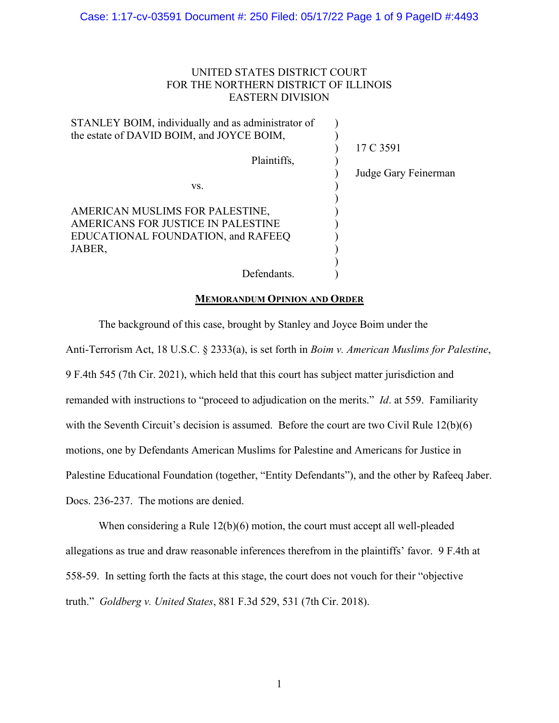# UNITED STATES DISTRICT COURT FOR THE NORTHERN DISTRICT OF ILLINOIS EASTERN DIVISION

| STANLEY BOIM, individually and as administrator of |                      |
|----------------------------------------------------|----------------------|
| the estate of DAVID BOIM, and JOYCE BOIM,          |                      |
|                                                    | 17 C 3591            |
| Plaintiffs,                                        |                      |
|                                                    | Judge Gary Feinerman |
| VS.                                                |                      |
| AMERICAN MUSLIMS FOR PALESTINE,                    |                      |
| AMERICANS FOR JUSTICE IN PALESTINE                 |                      |
| EDUCATIONAL FOUNDATION, and RAFEEQ                 |                      |
| JABER,                                             |                      |
|                                                    |                      |
| Defendants.                                        |                      |

## **MEMORANDUM OPINION AND ORDER**

The background of this case, brought by Stanley and Joyce Boim under the

Anti-Terrorism Act, 18 U.S.C. § 2333(a), is set forth in *Boim v. American Muslims for Palestine*, 9 F.4th 545 (7th Cir. 2021), which held that this court has subject matter jurisdiction and remanded with instructions to "proceed to adjudication on the merits." *Id*. at 559. Familiarity with the Seventh Circuit's decision is assumed. Before the court are two Civil Rule 12(b)(6) motions, one by Defendants American Muslims for Palestine and Americans for Justice in Palestine Educational Foundation (together, "Entity Defendants"), and the other by Rafeeq Jaber. Docs. 236-237. The motions are denied.

When considering a Rule 12(b)(6) motion, the court must accept all well-pleaded allegations as true and draw reasonable inferences therefrom in the plaintiffs' favor. 9 F.4th at 558-59. In setting forth the facts at this stage, the court does not vouch for their "objective truth." *Goldberg v. United States*, 881 F.3d 529, 531 (7th Cir. 2018).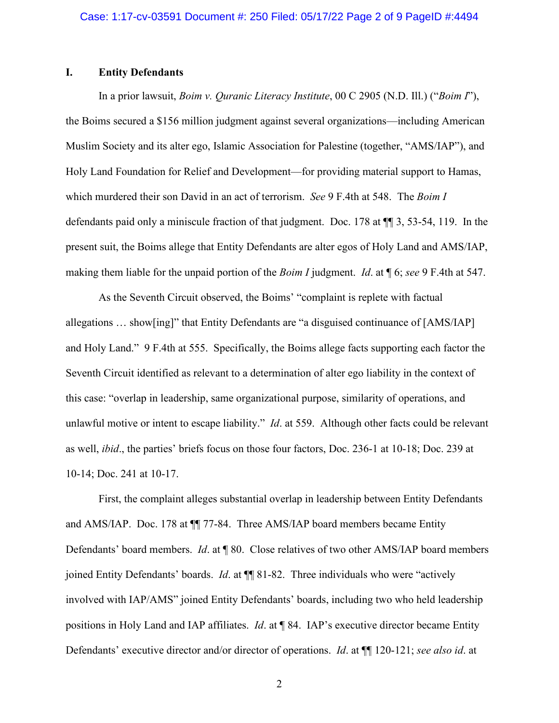# **I. Entity Defendants**

In a prior lawsuit, *Boim v. Quranic Literacy Institute*, 00 C 2905 (N.D. Ill.) ("*Boim I*"), the Boims secured a \$156 million judgment against several organizations—including American Muslim Society and its alter ego, Islamic Association for Palestine (together, "AMS/IAP"), and Holy Land Foundation for Relief and Development—for providing material support to Hamas, which murdered their son David in an act of terrorism. *See* 9 F.4th at 548. The *Boim I*  defendants paid only a miniscule fraction of that judgment. Doc. 178 at ¶¶ 3, 53-54, 119. In the present suit, the Boims allege that Entity Defendants are alter egos of Holy Land and AMS/IAP, making them liable for the unpaid portion of the *Boim I* judgment. *Id*. at ¶ 6; *see* 9 F.4th at 547.

As the Seventh Circuit observed, the Boims' "complaint is replete with factual allegations … show[ing]" that Entity Defendants are "a disguised continuance of [AMS/IAP] and Holy Land." 9 F.4th at 555. Specifically, the Boims allege facts supporting each factor the Seventh Circuit identified as relevant to a determination of alter ego liability in the context of this case: "overlap in leadership, same organizational purpose, similarity of operations, and unlawful motive or intent to escape liability." *Id*. at 559. Although other facts could be relevant as well, *ibid*., the parties' briefs focus on those four factors, Doc. 236-1 at 10-18; Doc. 239 at 10-14; Doc. 241 at 10-17.

First, the complaint alleges substantial overlap in leadership between Entity Defendants and AMS/IAP. Doc. 178 at ¶¶ 77-84. Three AMS/IAP board members became Entity Defendants' board members. *Id*. at ¶ 80. Close relatives of two other AMS/IAP board members joined Entity Defendants' boards. *Id*. at ¶¶ 81-82. Three individuals who were "actively involved with IAP/AMS" joined Entity Defendants' boards, including two who held leadership positions in Holy Land and IAP affiliates. *Id*. at ¶ 84. IAP's executive director became Entity Defendants' executive director and/or director of operations. *Id*. at ¶¶ 120-121; *see also id*. at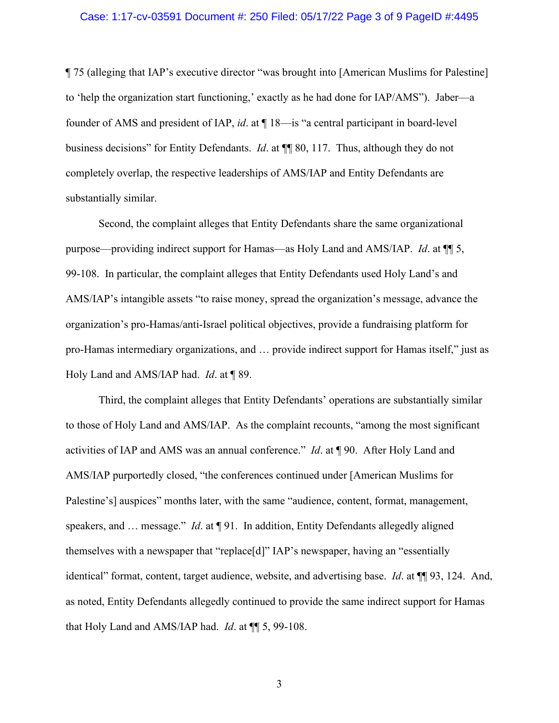## Case: 1:17-cv-03591 Document #: 250 Filed: 05/17/22 Page 3 of 9 PageID #:4495

¶ 75 (alleging that IAP's executive director "was brought into [American Muslims for Palestine] to 'help the organization start functioning,' exactly as he had done for IAP/AMS"). Jaber—a founder of AMS and president of IAP, *id*. at ¶ 18—is "a central participant in board-level business decisions" for Entity Defendants. *Id*. at ¶¶ 80, 117. Thus, although they do not completely overlap, the respective leaderships of AMS/IAP and Entity Defendants are substantially similar.

Second, the complaint alleges that Entity Defendants share the same organizational purpose—providing indirect support for Hamas—as Holy Land and AMS/IAP. *Id*. at ¶¶ 5, 99-108. In particular, the complaint alleges that Entity Defendants used Holy Land's and AMS/IAP's intangible assets "to raise money, spread the organization's message, advance the organization's pro-Hamas/anti-Israel political objectives, provide a fundraising platform for pro-Hamas intermediary organizations, and … provide indirect support for Hamas itself," just as Holy Land and AMS/IAP had. *Id*. at ¶ 89.

Third, the complaint alleges that Entity Defendants' operations are substantially similar to those of Holy Land and AMS/IAP. As the complaint recounts, "among the most significant activities of IAP and AMS was an annual conference." *Id*. at ¶ 90. After Holy Land and AMS/IAP purportedly closed, "the conferences continued under [American Muslims for Palestine's] auspices" months later, with the same "audience, content, format, management, speakers, and … message." *Id*. at ¶ 91. In addition, Entity Defendants allegedly aligned themselves with a newspaper that "replace[d]" IAP's newspaper, having an "essentially identical" format, content, target audience, website, and advertising base. *Id*. at ¶¶ 93, 124. And, as noted, Entity Defendants allegedly continued to provide the same indirect support for Hamas that Holy Land and AMS/IAP had. *Id*. at ¶¶ 5, 99-108.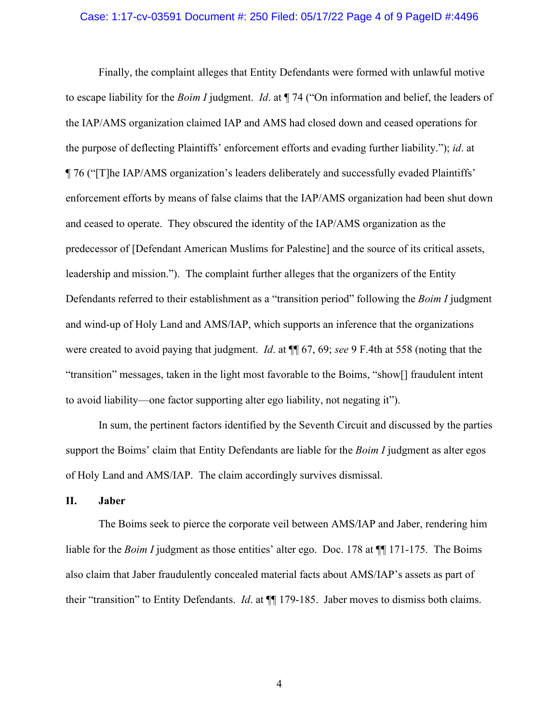### Case: 1:17-cv-03591 Document #: 250 Filed: 05/17/22 Page 4 of 9 PageID #:4496

Finally, the complaint alleges that Entity Defendants were formed with unlawful motive to escape liability for the *Boim I* judgment. *Id*. at ¶ 74 ("On information and belief, the leaders of the IAP/AMS organization claimed IAP and AMS had closed down and ceased operations for the purpose of deflecting Plaintiffs' enforcement efforts and evading further liability."); *id*. at ¶ 76 ("[T]he IAP/AMS organization's leaders deliberately and successfully evaded Plaintiffs' enforcement efforts by means of false claims that the IAP/AMS organization had been shut down and ceased to operate. They obscured the identity of the IAP/AMS organization as the predecessor of [Defendant American Muslims for Palestine] and the source of its critical assets, leadership and mission."). The complaint further alleges that the organizers of the Entity Defendants referred to their establishment as a "transition period" following the *Boim I* judgment and wind-up of Holy Land and AMS/IAP, which supports an inference that the organizations were created to avoid paying that judgment. *Id*. at ¶¶ 67, 69; *see* 9 F.4th at 558 (noting that the "transition" messages, taken in the light most favorable to the Boims, "show[] fraudulent intent to avoid liability—one factor supporting alter ego liability, not negating it").

In sum, the pertinent factors identified by the Seventh Circuit and discussed by the parties support the Boims' claim that Entity Defendants are liable for the *Boim I* judgment as alter egos of Holy Land and AMS/IAP. The claim accordingly survives dismissal.

## **II. Jaber**

The Boims seek to pierce the corporate veil between AMS/IAP and Jaber, rendering him liable for the *Boim I* judgment as those entities' alter ego. Doc. 178 at  $\P$  171-175. The Boims also claim that Jaber fraudulently concealed material facts about AMS/IAP's assets as part of their "transition" to Entity Defendants. *Id*. at ¶¶ 179-185. Jaber moves to dismiss both claims.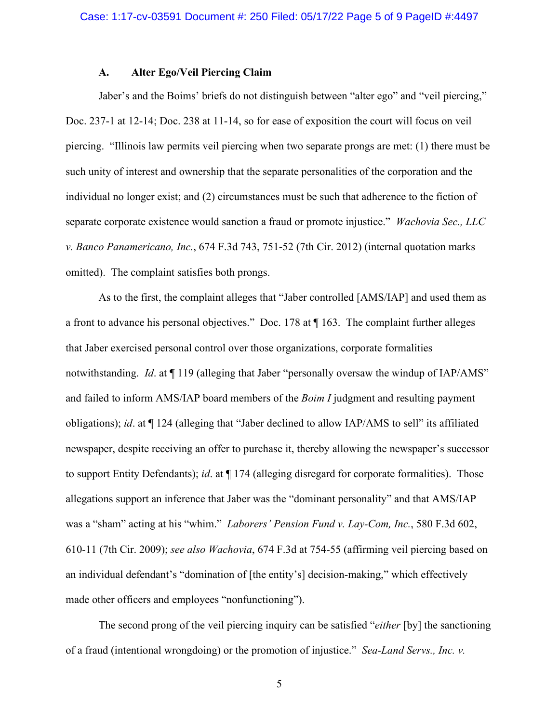## **A. Alter Ego/Veil Piercing Claim**

Jaber's and the Boims' briefs do not distinguish between "alter ego" and "veil piercing," Doc. 237-1 at 12-14; Doc. 238 at 11-14, so for ease of exposition the court will focus on veil piercing. "Illinois law permits veil piercing when two separate prongs are met: (1) there must be such unity of interest and ownership that the separate personalities of the corporation and the individual no longer exist; and (2) circumstances must be such that adherence to the fiction of separate corporate existence would sanction a fraud or promote injustice." *Wachovia Sec., LLC v. Banco Panamericano, Inc.*, 674 F.3d 743, 751-52 (7th Cir. 2012) (internal quotation marks omitted). The complaint satisfies both prongs.

As to the first, the complaint alleges that "Jaber controlled [AMS/IAP] and used them as a front to advance his personal objectives." Doc. 178 at ¶ 163. The complaint further alleges that Jaber exercised personal control over those organizations, corporate formalities notwithstanding. *Id*. at ¶ 119 (alleging that Jaber "personally oversaw the windup of IAP/AMS" and failed to inform AMS/IAP board members of the *Boim I* judgment and resulting payment obligations); *id*. at ¶ 124 (alleging that "Jaber declined to allow IAP/AMS to sell" its affiliated newspaper, despite receiving an offer to purchase it, thereby allowing the newspaper's successor to support Entity Defendants); *id*. at ¶ 174 (alleging disregard for corporate formalities). Those allegations support an inference that Jaber was the "dominant personality" and that AMS/IAP was a "sham" acting at his "whim." *Laborers' Pension Fund v. Lay-Com, Inc.*, 580 F.3d 602, 610-11 (7th Cir. 2009); *see also Wachovia*, 674 F.3d at 754-55 (affirming veil piercing based on an individual defendant's "domination of [the entity's] decision-making," which effectively made other officers and employees "nonfunctioning").

The second prong of the veil piercing inquiry can be satisfied "*either* [by] the sanctioning of a fraud (intentional wrongdoing) or the promotion of injustice." *Sea-Land Servs., Inc. v.*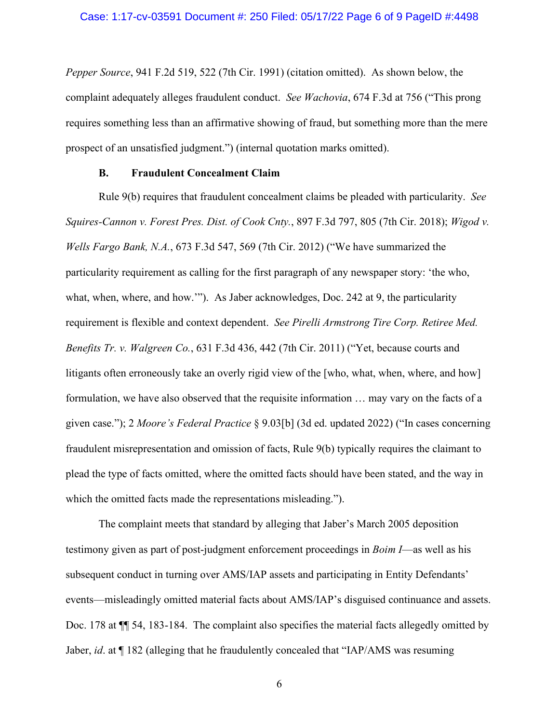*Pepper Source*, 941 F.2d 519, 522 (7th Cir. 1991) (citation omitted). As shown below, the complaint adequately alleges fraudulent conduct. *See Wachovia*, 674 F.3d at 756 ("This prong requires something less than an affirmative showing of fraud, but something more than the mere prospect of an unsatisfied judgment.") (internal quotation marks omitted).

# **B. Fraudulent Concealment Claim**

Rule 9(b) requires that fraudulent concealment claims be pleaded with particularity. *See Squires-Cannon v. Forest Pres. Dist. of Cook Cnty.*, 897 F.3d 797, 805 (7th Cir. 2018); *Wigod v. Wells Fargo Bank, N.A.*, 673 F.3d 547, 569 (7th Cir. 2012) ("We have summarized the particularity requirement as calling for the first paragraph of any newspaper story: 'the who, what, when, where, and how.""). As Jaber acknowledges, Doc. 242 at 9, the particularity requirement is flexible and context dependent. *See Pirelli Armstrong Tire Corp. Retiree Med. Benefits Tr. v. Walgreen Co.*, 631 F.3d 436, 442 (7th Cir. 2011) ("Yet, because courts and litigants often erroneously take an overly rigid view of the [who, what, when, where, and how] formulation, we have also observed that the requisite information … may vary on the facts of a given case."); 2 *Moore's Federal Practice* § 9.03[b] (3d ed. updated 2022) ("In cases concerning fraudulent misrepresentation and omission of facts, Rule 9(b) typically requires the claimant to plead the type of facts omitted, where the omitted facts should have been stated, and the way in which the omitted facts made the representations misleading.").

The complaint meets that standard by alleging that Jaber's March 2005 deposition testimony given as part of post-judgment enforcement proceedings in *Boim I*—as well as his subsequent conduct in turning over AMS/IAP assets and participating in Entity Defendants' events—misleadingly omitted material facts about AMS/IAP's disguised continuance and assets. Doc. 178 at  $\P$  54, 183-184. The complaint also specifies the material facts allegedly omitted by Jaber, *id*. at ¶ 182 (alleging that he fraudulently concealed that "IAP/AMS was resuming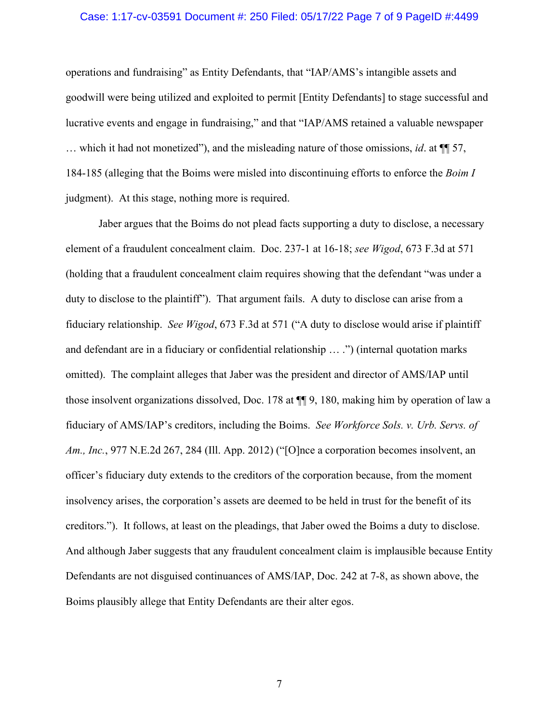### Case: 1:17-cv-03591 Document #: 250 Filed: 05/17/22 Page 7 of 9 PageID #:4499

operations and fundraising" as Entity Defendants, that "IAP/AMS's intangible assets and goodwill were being utilized and exploited to permit [Entity Defendants] to stage successful and lucrative events and engage in fundraising," and that "IAP/AMS retained a valuable newspaper … which it had not monetized"), and the misleading nature of those omissions, *id*. at ¶¶ 57, 184-185 (alleging that the Boims were misled into discontinuing efforts to enforce the *Boim I*  judgment). At this stage, nothing more is required.

Jaber argues that the Boims do not plead facts supporting a duty to disclose, a necessary element of a fraudulent concealment claim. Doc. 237-1 at 16-18; *see Wigod*, 673 F.3d at 571 (holding that a fraudulent concealment claim requires showing that the defendant "was under a duty to disclose to the plaintiff"). That argument fails. A duty to disclose can arise from a fiduciary relationship. *See Wigod*, 673 F.3d at 571 ("A duty to disclose would arise if plaintiff and defendant are in a fiduciary or confidential relationship … .") (internal quotation marks omitted). The complaint alleges that Jaber was the president and director of AMS/IAP until those insolvent organizations dissolved, Doc. 178 at ¶¶ 9, 180, making him by operation of law a fiduciary of AMS/IAP's creditors, including the Boims. *See Workforce Sols. v. Urb. Servs. of Am., Inc.*, 977 N.E.2d 267, 284 (Ill. App. 2012) ("[O]nce a corporation becomes insolvent, an officer's fiduciary duty extends to the creditors of the corporation because, from the moment insolvency arises, the corporation's assets are deemed to be held in trust for the benefit of its creditors."). It follows, at least on the pleadings, that Jaber owed the Boims a duty to disclose. And although Jaber suggests that any fraudulent concealment claim is implausible because Entity Defendants are not disguised continuances of AMS/IAP, Doc. 242 at 7-8, as shown above, the Boims plausibly allege that Entity Defendants are their alter egos.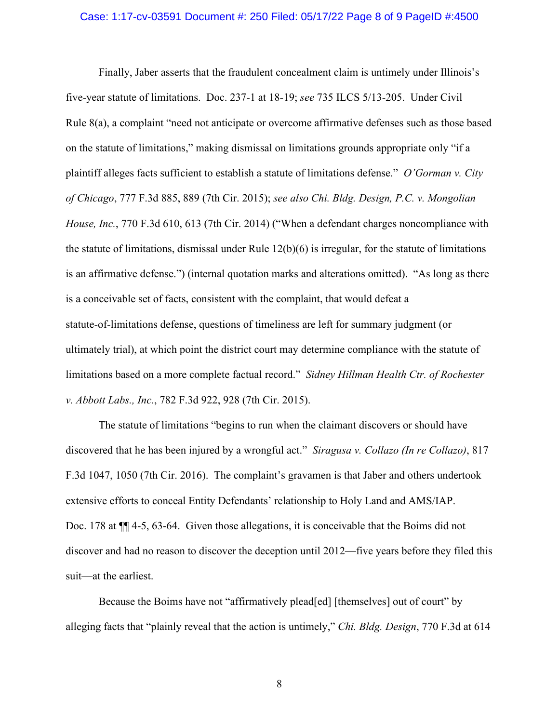### Case: 1:17-cv-03591 Document #: 250 Filed: 05/17/22 Page 8 of 9 PageID #:4500

Finally, Jaber asserts that the fraudulent concealment claim is untimely under Illinois's five-year statute of limitations. Doc. 237-1 at 18-19; *see* 735 ILCS 5/13-205. Under Civil Rule 8(a), a complaint "need not anticipate or overcome affirmative defenses such as those based on the statute of limitations," making dismissal on limitations grounds appropriate only "if a plaintiff alleges facts sufficient to establish a statute of limitations defense." *O'Gorman v. City of Chicago*, 777 F.3d 885, 889 (7th Cir. 2015); *see also Chi. Bldg. Design, P.C. v. Mongolian House, Inc.*, 770 F.3d 610, 613 (7th Cir. 2014) ("When a defendant charges noncompliance with the statute of limitations, dismissal under Rule 12(b)(6) is irregular, for the statute of limitations is an affirmative defense.") (internal quotation marks and alterations omitted). "As long as there is a conceivable set of facts, consistent with the complaint, that would defeat a statute-of-limitations defense, questions of timeliness are left for summary judgment (or ultimately trial), at which point the district court may determine compliance with the statute of limitations based on a more complete factual record." *Sidney Hillman Health Ctr. of Rochester v. Abbott Labs., Inc.*, 782 F.3d 922, 928 (7th Cir. 2015).

The statute of limitations "begins to run when the claimant discovers or should have discovered that he has been injured by a wrongful act." *Siragusa v. Collazo (In re Collazo)*, 817 F.3d 1047, 1050 (7th Cir. 2016). The complaint's gravamen is that Jaber and others undertook extensive efforts to conceal Entity Defendants' relationship to Holy Land and AMS/IAP. Doc. 178 at ¶¶ 4-5, 63-64. Given those allegations, it is conceivable that the Boims did not discover and had no reason to discover the deception until 2012—five years before they filed this suit—at the earliest.

Because the Boims have not "affirmatively plead[ed] [themselves] out of court" by alleging facts that "plainly reveal that the action is untimely," *Chi. Bldg. Design*, 770 F.3d at 614